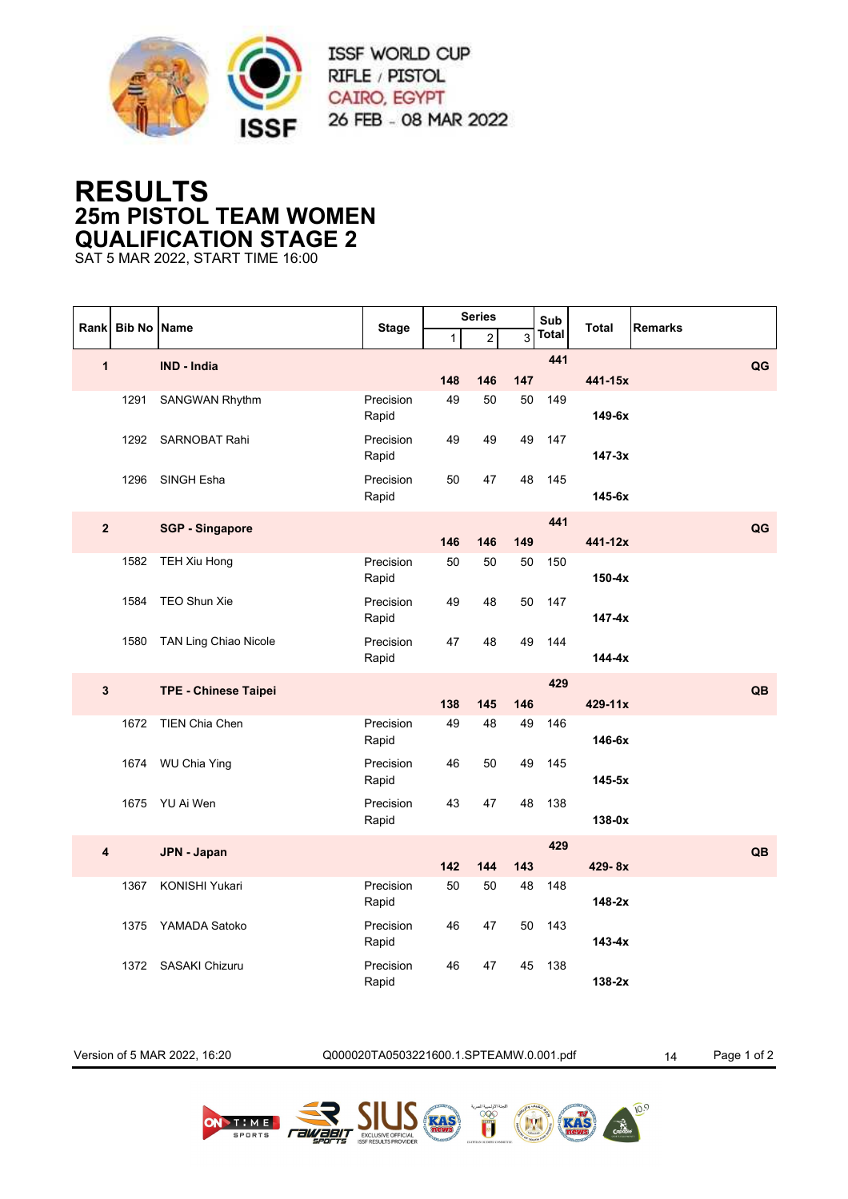

## **RESULTS 25m PISTOL TEAM WOMEN QUALIFICATION STAGE 2**

SAT 5 MAR 2022, START TIME 16:00

|                         | <b>Bib No Name</b> |                             | <b>Stage</b>       | <b>Series</b> |                         |           | Sub          |              |                |
|-------------------------|--------------------|-----------------------------|--------------------|---------------|-------------------------|-----------|--------------|--------------|----------------|
| Rank                    |                    |                             |                    | $\mathbf{1}$  | $\overline{\mathbf{c}}$ | 3         | <b>Total</b> | <b>Total</b> | <b>Remarks</b> |
| $\overline{\mathbf{1}}$ |                    | <b>IND - India</b>          |                    | 148           | 146                     | 147       | 441          | 441-15x      | QG             |
|                         | 1291               | SANGWAN Rhythm              | Precision          | 49            | 50                      | 50        | 149          |              |                |
|                         |                    |                             | Rapid              |               |                         |           |              | 149-6x       |                |
|                         | 1292               | <b>SARNOBAT Rahi</b>        | Precision<br>Rapid | 49            | 49                      | 49        | 147          | $147 - 3x$   |                |
|                         | 1296               | SINGH Esha                  | Precision          | 50            | 47                      | 48        | 145          |              |                |
|                         |                    |                             | Rapid              |               |                         |           |              | 145-6x       |                |
| $\overline{\mathbf{2}}$ |                    | <b>SGP - Singapore</b>      |                    |               |                         |           | 441          |              | QG             |
|                         |                    |                             | Precision          | 146<br>50     | 146<br>50               | 149<br>50 | 150          | 441-12x      |                |
|                         | 1582               | TEH Xiu Hong                | Rapid              |               |                         |           |              | $150-4x$     |                |
|                         | 1584               | TEO Shun Xie                | Precision<br>Rapid | 49            | 48                      | 50        | 147          | $147 - 4x$   |                |
|                         | 1580               | TAN Ling Chiao Nicole       | Precision          | 47            | 48                      | 49        | 144          |              |                |
|                         |                    |                             | Rapid              |               |                         |           |              | 144-4x       |                |
| $\mathbf{3}$            |                    | <b>TPE - Chinese Taipei</b> |                    |               |                         |           | 429          |              | QB             |
|                         |                    |                             |                    | 138           | 145                     | 146       |              | 429-11x      |                |
|                         | 1672               | <b>TIEN Chia Chen</b>       | Precision<br>Rapid | 49            | 48                      | 49        | 146          | 146-6x       |                |
|                         | 1674               | <b>WU Chia Ying</b>         | Precision          | 46            | 50                      | 49        | 145          | $145-5x$     |                |
|                         |                    |                             | Rapid              |               |                         |           |              |              |                |
|                         | 1675               | YU Ai Wen                   | Precision<br>Rapid | 43            | 47                      | 48        | 138          | 138-0x       |                |
| $\overline{\mathbf{4}}$ |                    | JPN - Japan                 |                    |               |                         |           | 429          |              | QB             |
|                         |                    |                             |                    | 142           | 144                     | 143       |              | 429-8x       |                |
|                         | 1367               | KONISHI Yukari              | Precision<br>Rapid | 50            | 50                      | 48        | 148          | $148-2x$     |                |
|                         | 1375               | YAMADA Satoko               | Precision          | 46            | 47                      | 50        | 143          |              |                |
|                         |                    |                             | Rapid              |               |                         |           |              | $143 - 4x$   |                |
|                         | 1372               | <b>SASAKI Chizuru</b>       | Precision<br>Rapid | 46            | 47                      | 45        | 138          | $138-2x$     |                |

Version of 5 MAR 2022, 16:20 Q000020TA0503221600.1.SPTEAMW.0.001.pdf 14 Page 1 of 2

*Fawaan* 

(MM)

**EGYPED** 

RAS

 $10^{9}$